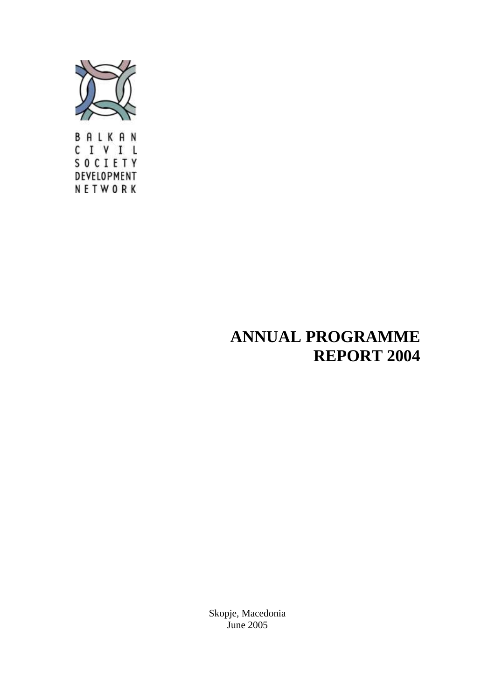

CIVIL **SOCIETY** DEVELOPMENT NETWORK

# **ANNUAL PROGRAMME REPORT 2004**

Skopje, Macedonia June 2005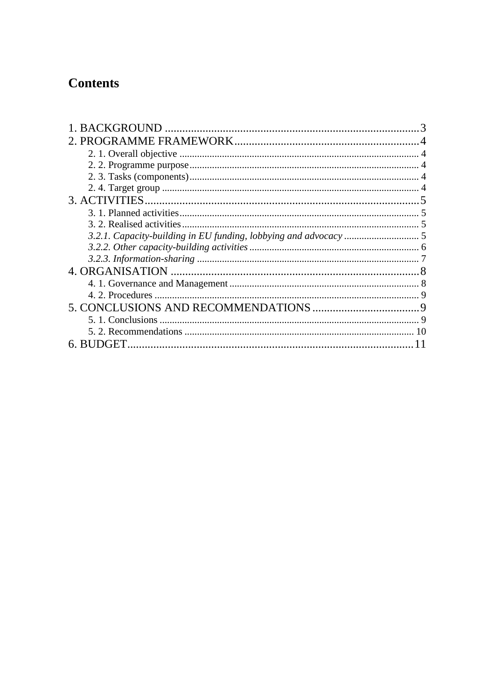# **Contents**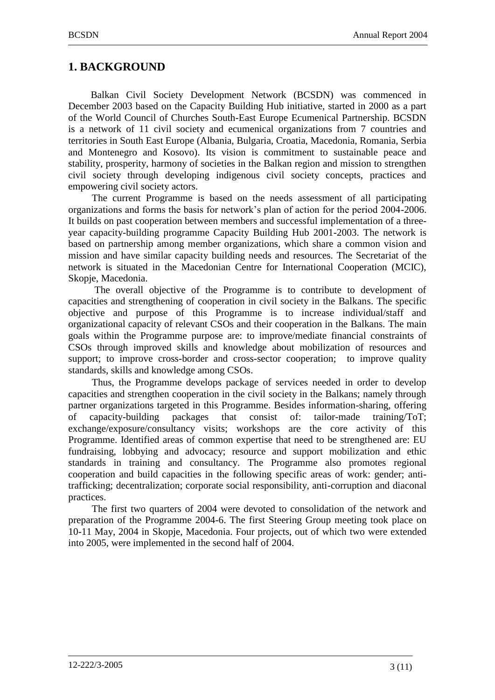## <span id="page-2-0"></span>**1. BACKGROUND**

Balkan Civil Society Development Network (BCSDN) was commenced in December 2003 based on the Capacity Building Hub initiative, started in 2000 as a part of the World Council of Churches South-East Europe Ecumenical Partnership. BCSDN is a network of 11 civil society and ecumenical organizations from 7 countries and territories in South East Europe (Albania, Bulgaria, Croatia, Macedonia, Romania, Serbia and Montenegro and Kosovo). Its vision is commitment to sustainable peace and stability, prosperity, harmony of societies in the Balkan region and mission to strengthen civil society through developing indigenous civil society concepts, practices and empowering civil society actors.

The current Programme is based on the needs assessment of all participating organizations and forms the basis for network's plan of action for the period 2004-2006. It builds on past cooperation between members and successful implementation of a threeyear capacity-building programme Capacity Building Hub 2001-2003. The network is based on partnership among member organizations, which share a common vision and mission and have similar capacity building needs and resources. The Secretariat of the network is situated in the Macedonian Centre for International Cooperation (MCIC), Skopje, Macedonia.

The overall objective of the Programme is to contribute to development of capacities and strengthening of cooperation in civil society in the Balkans. The specific objective and purpose of this Programme is to increase individual/staff and organizational capacity of relevant CSOs and their cooperation in the Balkans. The main goals within the Programme purpose are: to improve/mediate financial constraints of CSOs through improved skills and knowledge about mobilization of resources and support; to improve cross-border and cross-sector cooperation; to improve quality standards, skills and knowledge among CSOs.

Thus, the Programme develops package of services needed in order to develop capacities and strengthen cooperation in the civil society in the Balkans; namely through partner organizations targeted in this Programme. Besides information-sharing, offering of capacity-building packages that consist of: tailor-made training/ToT; exchange/exposure/consultancy visits; workshops are the core activity of this Programme. Identified areas of common expertise that need to be strengthened are: EU fundraising, lobbying and advocacy; resource and support mobilization and ethic standards in training and consultancy. The Programme also promotes regional cooperation and build capacities in the following specific areas of work: gender; antitrafficking; decentralization; corporate social responsibility, anti-corruption and diaconal practices.

The first two quarters of 2004 were devoted to consolidation of the network and preparation of the Programme 2004-6. The first Steering Group meeting took place on 10-11 May, 2004 in Skopje, Macedonia. Four projects, out of which two were extended into 2005, were implemented in the second half of 2004.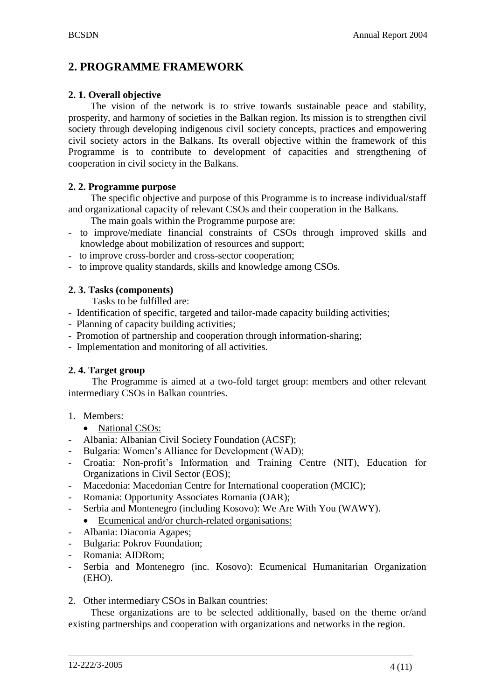## <span id="page-3-0"></span>**2. PROGRAMME FRAMEWORK**

#### <span id="page-3-1"></span>**2. 1. Overall objective**

The vision of the network is to strive towards sustainable peace and stability, prosperity, and harmony of societies in the Balkan region. Its mission is to strengthen civil society through developing indigenous civil society concepts, practices and empowering civil society actors in the Balkans. Its overall objective within the framework of this Programme is to contribute to development of capacities and strengthening of cooperation in civil society in the Balkans.

#### <span id="page-3-2"></span>**2. 2. Programme purpose**

The specific objective and purpose of this Programme is to increase individual/staff and organizational capacity of relevant CSOs and their cooperation in the Balkans.

The main goals within the Programme purpose are:

- to improve/mediate financial constraints of CSOs through improved skills and knowledge about mobilization of resources and support;
- to improve cross-border and cross-sector cooperation;
- <span id="page-3-3"></span>- to improve quality standards, skills and knowledge among CSOs*.*

#### **2. 3. Tasks (components)**

Tasks to be fulfilled are:

- Identification of specific, targeted and tailor-made capacity building activities;
- Planning of capacity building activities;
- Promotion of partnership and cooperation through information-sharing;
- Implementation and monitoring of all activities.

#### <span id="page-3-4"></span>**2. 4. Target group**

The Programme is aimed at a two-fold target group: members and other relevant intermediary CSOs in Balkan countries.

- 1. Members:
	- National CSOs:
- Albania: Albanian Civil Society Foundation (ACSF);
- Bulgaria: Women's Alliance for Development (WAD);
- Croatia: Non-profit's Information and Training Centre (NIT), Education for Organizations in Civil Sector (EOS);
- Macedonia: Macedonian Centre for International cooperation (MCIC);
- Romania: Opportunity Associates Romania (OAR);
- Serbia and Montenegro (including Kosovo): We Are With You (WAWY).
- Ecumenical and/or church-related organisations:
- Albania: Diaconia Agapes;
- Bulgaria: Pokrov Foundation;
- Romania: AIDRom;
- Serbia and Montenegro (inc. Kosovo): Ecumenical Humanitarian Organization (EHO).
- 2. Other intermediary CSOs in Balkan countries:

These organizations are to be selected additionally, based on the theme or/and existing partnerships and cooperation with organizations and networks in the region.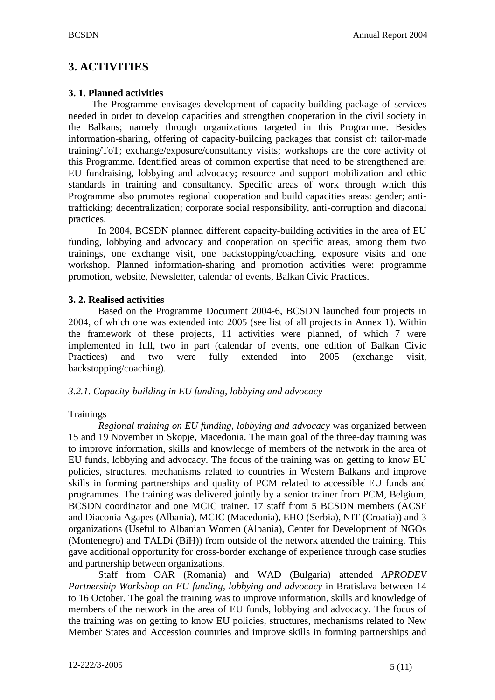# <span id="page-4-0"></span>**3. ACTIVITIES**

## <span id="page-4-1"></span>**3. 1. Planned activities**

The Programme envisages development of capacity-building package of services needed in order to develop capacities and strengthen cooperation in the civil society in the Balkans; namely through organizations targeted in this Programme. Besides information-sharing, offering of capacity-building packages that consist of: tailor-made training/ToT; exchange/exposure/consultancy visits; workshops are the core activity of this Programme. Identified areas of common expertise that need to be strengthened are: EU fundraising, lobbying and advocacy; resource and support mobilization and ethic standards in training and consultancy. Specific areas of work through which this Programme also promotes regional cooperation and build capacities areas: gender; antitrafficking; decentralization; corporate social responsibility, anti-corruption and diaconal practices.

In 2004, BCSDN planned different capacity-building activities in the area of EU funding, lobbying and advocacy and cooperation on specific areas, among them two trainings, one exchange visit, one backstopping/coaching, exposure visits and one workshop. Planned information-sharing and promotion activities were: programme promotion, website, Newsletter, calendar of events, Balkan Civic Practices.

## <span id="page-4-2"></span>**3. 2. Realised activities**

Based on the Programme Document 2004-6, BCSDN launched four projects in 2004, of which one was extended into 2005 (see list of all projects in Annex 1). Within the framework of these projects, 11 activities were planned, of which 7 were implemented in full, two in part (calendar of events, one edition of Balkan Civic Practices) and two were fully extended into 2005 (exchange visit, backstopping/coaching).

## <span id="page-4-3"></span>*3.2.1. Capacity-building in EU funding, lobbying and advocacy*

## **Trainings**

*Regional training on EU funding, lobbying and advocacy* was organized between 15 and 19 November in Skopje, Macedonia. The main goal of the three-day training was to improve information, skills and knowledge of members of the network in the area of EU funds, lobbying and advocacy. The focus of the training was on getting to know EU policies, structures, mechanisms related to countries in Western Balkans and improve skills in forming partnerships and quality of PCM related to accessible EU funds and programmes. The training was delivered jointly by a senior trainer from PCM, Belgium, BCSDN coordinator and one MCIC trainer. 17 staff from 5 BCSDN members (ACSF and Diaconia Agapes (Albania), MCIC (Macedonia), EHO (Serbia), NIT (Croatia)) and 3 organizations (Useful to Albanian Women (Albania), Center for Development of NGOs (Montenegro) and TALDi (BiH)) from outside of the network attended the training. This gave additional opportunity for cross-border exchange of experience through case studies and partnership between organizations.

Staff from OAR (Romania) and WAD (Bulgaria) attended *APRODEV Partnership Workshop on EU funding, lobbying and advocacy* in Bratislava between 14 to 16 October. The goal the training was to improve information, skills and knowledge of members of the network in the area of EU funds, lobbying and advocacy. The focus of the training was on getting to know EU policies, structures, mechanisms related to New Member States and Accession countries and improve skills in forming partnerships and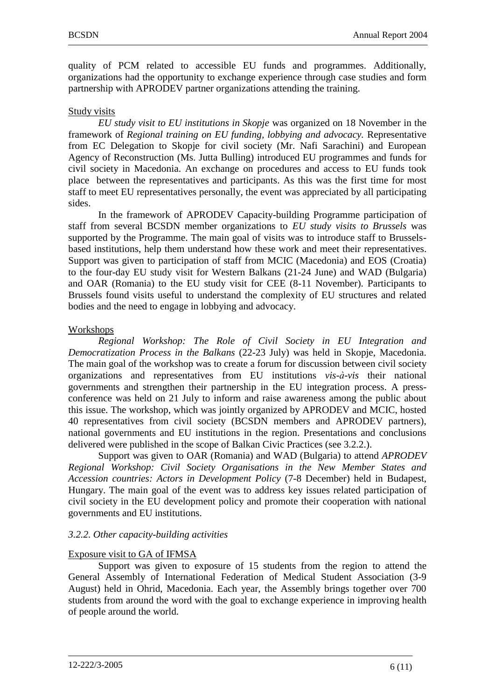quality of PCM related to accessible EU funds and programmes. Additionally, organizations had the opportunity to exchange experience through case studies and form partnership with APRODEV partner organizations attending the training.

#### Study visits

*EU study visit to EU institutions in Skopje* was organized on 18 November in the framework of *Regional training on EU funding, lobbying and advocacy.* Representative from EC Delegation to Skopje for civil society (Mr. Nafi Sarachini) and European Agency of Reconstruction (Ms. Jutta Bulling) introduced EU programmes and funds for civil society in Macedonia. An exchange on procedures and access to EU funds took place between the representatives and participants. As this was the first time for most staff to meet EU representatives personally, the event was appreciated by all participating sides.

In the framework of APRODEV Capacity-building Programme participation of staff from several BCSDN member organizations to *EU study visits to Brussels* was supported by the Programme. The main goal of visits was to introduce staff to Brusselsbased institutions, help them understand how these work and meet their representatives. Support was given to participation of staff from MCIC (Macedonia) and EOS (Croatia) to the four-day EU study visit for Western Balkans (21-24 June) and WAD (Bulgaria) and OAR (Romania) to the EU study visit for CEE (8-11 November). Participants to Brussels found visits useful to understand the complexity of EU structures and related bodies and the need to engage in lobbying and advocacy.

#### Workshops

*Regional Workshop: The Role of Civil Society in EU Integration and Democratization Process in the Balkans* (22-23 July) was held in Skopje, Macedonia. The main goal of the workshop was to create a forum for discussion between civil society organizations and representatives from EU institutions *vis-à-vis* their national governments and strengthen their partnership in the EU integration process. A pressconference was held on 21 July to inform and raise awareness among the public about this issue. The workshop, which was jointly organized by APRODEV and MCIC, hosted 40 representatives from civil society (BCSDN members and APRODEV partners), national governments and EU institutions in the region. Presentations and conclusions delivered were published in the scope of Balkan Civic Practices (see 3.2.2.).

Support was given to OAR (Romania) and WAD (Bulgaria) to attend *APRODEV Regional Workshop: Civil Society Organisations in the New Member States and Accession countries: Actors in Development Policy* (7-8 December) held in Budapest, Hungary. The main goal of the event was to address key issues related participation of civil society in the EU development policy and promote their cooperation with national governments and EU institutions.

#### <span id="page-5-0"></span>*3.2.2. Other capacity-building activities*

#### Exposure visit to GA of IFMSA

Support was given to exposure of 15 students from the region to attend the General Assembly of International Federation of Medical Student Association (3-9 August) held in Ohrid, Macedonia. Each year, the Assembly brings together over 700 students from around the word with the goal to exchange experience in improving health of people around the world.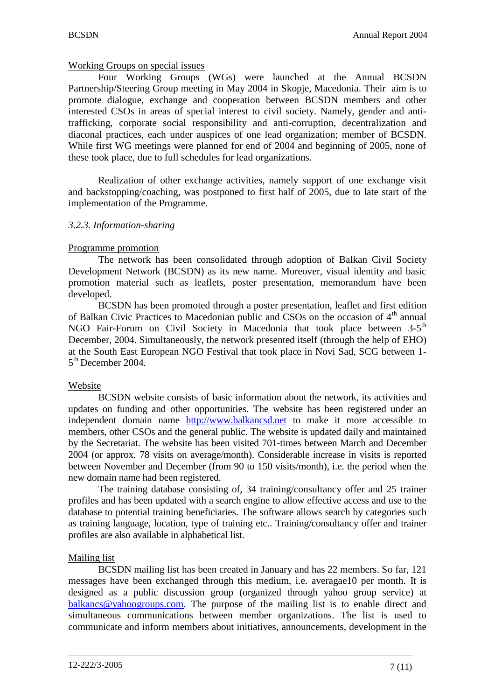#### Working Groups on special issues

Four Working Groups (WGs) were launched at the Annual BCSDN Partnership/Steering Group meeting in May 2004 in Skopje, Macedonia. Their aim is to promote dialogue, exchange and cooperation between BCSDN members and other interested CSOs in areas of special interest to civil society. Namely, gender and antitrafficking, corporate social responsibility and anti-corruption, decentralization and diaconal practices, each under auspices of one lead organization; member of BCSDN. While first WG meetings were planned for end of 2004 and beginning of 2005, none of these took place, due to full schedules for lead organizations.

Realization of other exchange activities, namely support of one exchange visit and backstopping/coaching, was postponed to first half of 2005, due to late start of the implementation of the Programme.

#### <span id="page-6-0"></span>*3.2.3. Information-sharing*

#### Programme promotion

The network has been consolidated through adoption of Balkan Civil Society Development Network (BCSDN) as its new name. Moreover, visual identity and basic promotion material such as leaflets, poster presentation, memorandum have been developed.

BCSDN has been promoted through a poster presentation, leaflet and first edition of Balkan Civic Practices to Macedonian public and CSOs on the occasion of  $4<sup>th</sup>$  annual NGO Fair-Forum on Civil Society in Macedonia that took place between 3-5<sup>th</sup> December, 2004. Simultaneously, the network presented itself (through the help of EHO) at the South East European NGO Festival that took place in Novi Sad, SCG between 1- 5<sup>th</sup> December 2004.

#### Website

BCSDN website consists of basic information about the network, its activities and updates on funding and other opportunities. The website has been registered under an independent domain name [http://www.balkancsd.net](http://www.balkancsd.net/) to make it more accessible to members, other CSOs and the general public. The website is updated daily and maintained by the Secretariat. The website has been visited 701-times between March and December 2004 (or approx. 78 visits on average/month). Considerable increase in visits is reported between November and December (from 90 to 150 visits/month), i.e. the period when the new domain name had been registered.

The training database consisting of, 34 training/consultancy offer and 25 trainer profiles and has been updated with a search engine to allow effective access and use to the database to potential training beneficiaries. The software allows search by categories such as training language, location, type of training etc.. Training/consultancy offer and trainer profiles are also available in alphabetical list.

#### Mailing list

BCSDN mailing list has been created in January and has 22 members. So far, 121 messages have been exchanged through this medium, i.e. averagae10 per month. It is designed as a public discussion group (organized through yahoo group service) at [balkancs@yahoogroups.com.](mailto:balkancs@yahoogroups.com) The purpose of the mailing list is to enable direct and simultaneous communications between member organizations. The list is used to communicate and inform members about initiatives, announcements, development in the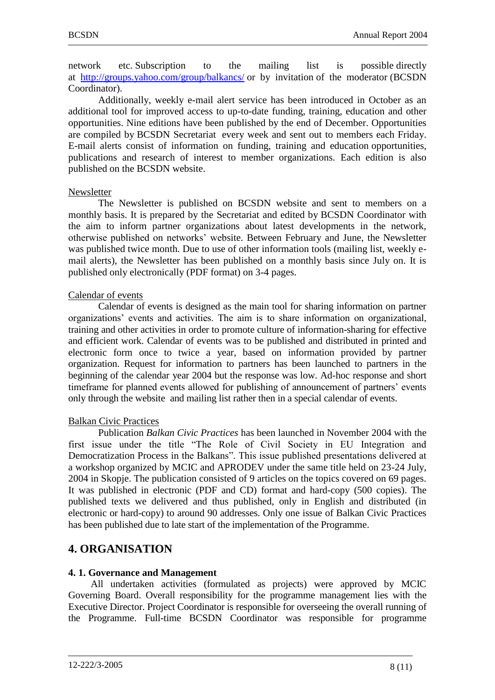network etc. Subscription to the mailing list is possible directly at <http://groups.yahoo.com/group/balkancs/> or by invitation of the moderator (BCSDN Coordinator).

Additionally, weekly e-mail alert service has been introduced in October as an additional tool for improved access to up-to-date funding, training, education and other opportunities. Nine editions have been published by the end of December. Opportunities are compiled by BCSDN Secretariat every week and sent out to members each Friday. E-mail alerts consist of information on funding, training and education opportunities, publications and research of interest to member organizations. Each edition is also published on the BCSDN website.

#### Newsletter

The Newsletter is published on BCSDN website and sent to members on a monthly basis. It is prepared by the Secretariat and edited by BCSDN Coordinator with the aim to inform partner organizations about latest developments in the network, otherwise published on networks' website. Between February and June, the Newsletter was published twice month. Due to use of other information tools (mailing list, weekly email alerts), the Newsletter has been published on a monthly basis since July on. It is published only electronically (PDF format) on 3-4 pages.

#### Calendar of events

Calendar of events is designed as the main tool for sharing information on partner organizations' events and activities. The aim is to share information on organizational, training and other activities in order to promote culture of information-sharing for effective and efficient work. Calendar of events was to be published and distributed in printed and electronic form once to twice a year, based on information provided by partner organization. Request for information to partners has been launched to partners in the beginning of the calendar year 2004 but the response was low. Ad-hoc response and short timeframe for planned events allowed for publishing of announcement of partners' events only through the website and mailing list rather then in a special calendar of events.

#### Balkan Civic Practices

Publication *Balkan Civic Practices* has been launched in November 2004 with the first issue under the title "The Role of Civil Society in EU Integration and Democratization Process in the Balkans". This issue published presentations delivered at a workshop organized by MCIC and APRODEV under the same title held on 23-24 July, 2004 in Skopje. The publication consisted of 9 articles on the topics covered on 69 pages. It was published in electronic (PDF and CD) format and hard-copy (500 copies). The published texts we delivered and thus published, only in English and distributed (in electronic or hard-copy) to around 90 addresses. Only one issue of Balkan Civic Practices has been published due to late start of the implementation of the Programme.

## <span id="page-7-0"></span>**4. ORGANISATION**

#### <span id="page-7-1"></span>**4. 1. Governance and Management**

All undertaken activities (formulated as projects) were approved by MCIC Governing Board. Overall responsibility for the programme management lies with the Executive Director. Project Coordinator is responsible for overseeing the overall running of the Programme. Full-time BCSDN Coordinator was responsible for programme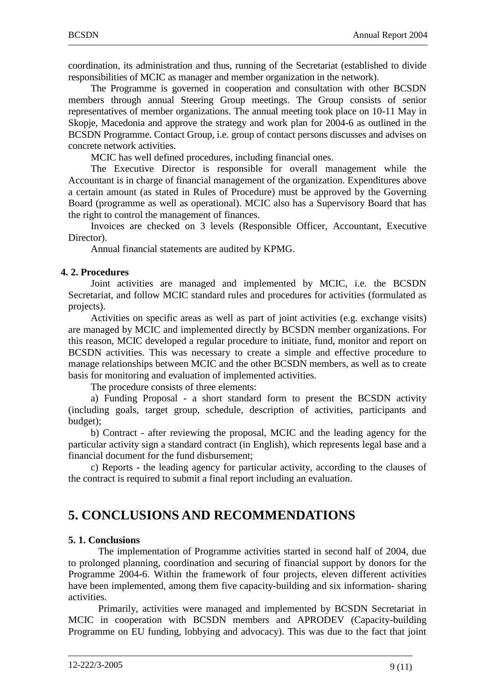coordination, its administration and thus, running of the Secretariat (established to divide responsibilities of MCIC as manager and member organization in the network).

The Programme is governed in cooperation and consultation with other BCSDN members through annual Steering Group meetings. The Group consists of senior representatives of member organizations. The annual meeting took place on 10-11 May in Skopje, Macedonia and approve the strategy and work plan for 2004-6 as outlined in the BCSDN Programme. Contact Group, i.e. group of contact persons discusses and advises on concrete network activities.

MCIC has well defined procedures, including financial ones.

The Executive Director is responsible for overall management while the Accountant is in charge of financial management of the organization. Expenditures above a certain amount (as stated in Rules of Procedure) must be approved by the Governing Board (programme as well as operational). MCIC also has a Supervisory Board that has the right to control the management of finances.

Invoices are checked on 3 levels (Responsible Officer, Accountant, Executive Director).

Annual financial statements are audited by KPMG.

#### <span id="page-8-0"></span>**4. 2. Procedures**

Joint activities are managed and implemented by MCIC, i.e. the BCSDN Secretariat, and follow MCIC standard rules and procedures for activities (formulated as projects).

Activities on specific areas as well as part of joint activities (e.g. exchange visits) are managed by MCIC and implemented directly by BCSDN member organizations. For this reason, MCIC developed a regular procedure to initiate, fund, monitor and report on BCSDN activities. This was necessary to create a simple and effective procedure to manage relationships between MCIC and the other BCSDN members, as well as to create basis for monitoring and evaluation of implemented activities.

The procedure consists of three elements:

a) Funding Proposal - a short standard form to present the BCSDN activity (including goals, target group, schedule, description of activities, participants and budget);

b) Contract - after reviewing the proposal, MCIC and the leading agency for the particular activity sign a standard contract (in English), which represents legal base and a financial document for the fund disbursement;

c) Reports - the leading agency for particular activity, according to the clauses of the contract is required to submit a final report including an evaluation.

## <span id="page-8-1"></span>**5. CONCLUSIONS AND RECOMMENDATIONS**

#### <span id="page-8-2"></span>**5. 1. Conclusions**

The implementation of Programme activities started in second half of 2004, due to prolonged planning, coordination and securing of financial support by donors for the Programme 2004-6. Within the framework of four projects, eleven different activities have been implemented, among them five capacity-building and six information- sharing activities.

Primarily, activities were managed and implemented by BCSDN Secretariat in MCIC in cooperation with BCSDN members and APRODEV (Capacity-building Programme on EU funding, lobbying and advocacy). This was due to the fact that joint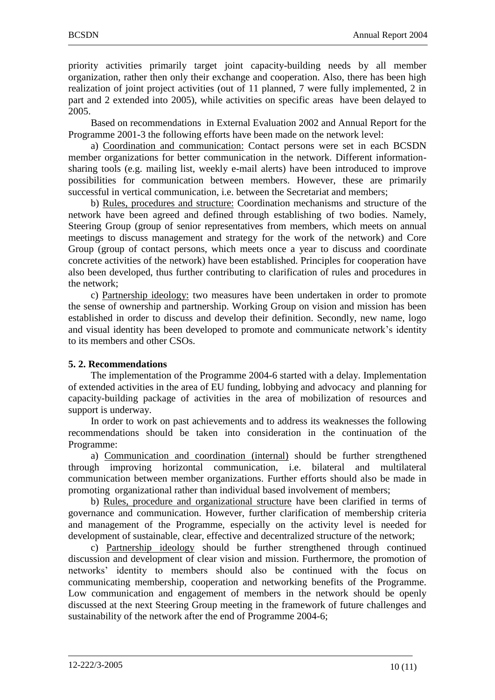priority activities primarily target joint capacity-building needs by all member organization, rather then only their exchange and cooperation. Also, there has been high realization of joint project activities (out of 11 planned, 7 were fully implemented, 2 in part and 2 extended into 2005), while activities on specific areas have been delayed to 2005.

Based on recommendations in External Evaluation 2002 and Annual Report for the Programme 2001-3 the following efforts have been made on the network level:

a) Coordination and communication: Contact persons were set in each BCSDN member organizations for better communication in the network. Different informationsharing tools (e.g. mailing list, weekly e-mail alerts) have been introduced to improve possibilities for communication between members. However, these are primarily successful in vertical communication, i.e. between the Secretariat and members;

b) Rules, procedures and structure: Coordination mechanisms and structure of the network have been agreed and defined through establishing of two bodies. Namely, Steering Group (group of senior representatives from members, which meets on annual meetings to discuss management and strategy for the work of the network) and Core Group (group of contact persons, which meets once a year to discuss and coordinate concrete activities of the network) have been established. Principles for cooperation have also been developed, thus further contributing to clarification of rules and procedures in the network;

c) Partnership ideology: two measures have been undertaken in order to promote the sense of ownership and partnership. Working Group on vision and mission has been established in order to discuss and develop their definition. Secondly, new name, logo and visual identity has been developed to promote and communicate network's identity to its members and other CSOs.

#### <span id="page-9-0"></span>**5. 2. Recommendations**

The implementation of the Programme 2004-6 started with a delay. Implementation of extended activities in the area of EU funding, lobbying and advocacy and planning for capacity-building package of activities in the area of mobilization of resources and support is underway.

In order to work on past achievements and to address its weaknesses the following recommendations should be taken into consideration in the continuation of the Programme:

a) Communication and coordination (internal) should be further strengthened through improving horizontal communication, i.e. bilateral and multilateral communication between member organizations. Further efforts should also be made in promoting organizational rather than individual based involvement of members;

b) Rules, procedure and organizational structure have been clarified in terms of governance and communication. However, further clarification of membership criteria and management of the Programme, especially on the activity level is needed for development of sustainable, clear, effective and decentralized structure of the network;

c) Partnership ideology should be further strengthened through continued discussion and development of clear vision and mission. Furthermore, the promotion of networks' identity to members should also be continued with the focus on communicating membership, cooperation and networking benefits of the Programme. Low communication and engagement of members in the network should be openly discussed at the next Steering Group meeting in the framework of future challenges and sustainability of the network after the end of Programme 2004-6;